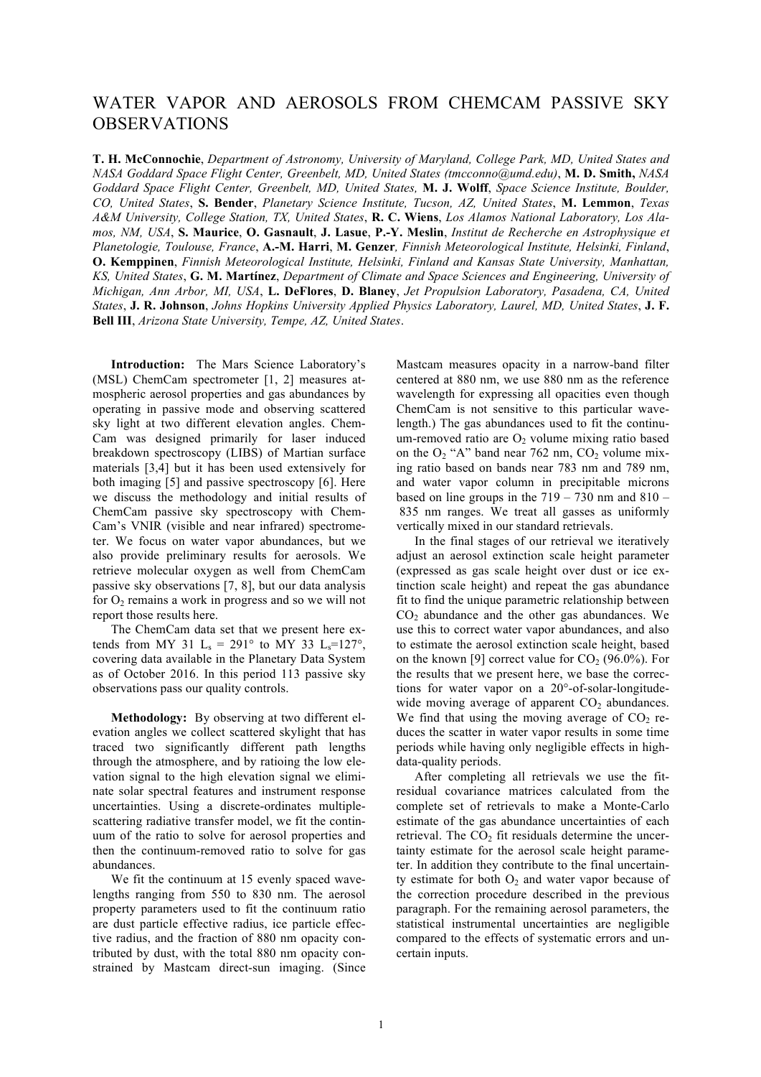## WATER VAPOR AND AEROSOLS FROM CHEMCAM PASSIVE SKY OBSERVATIONS

**T. H. McConnochie**, *Department of Astronomy, University of Maryland, College Park, MD, United States and NASA Goddard Space Flight Center, Greenbelt, MD, United States (tmcconno@umd.edu)*, **M. D. Smith,** *NASA Goddard Space Flight Center, Greenbelt, MD, United States,* **M. J. Wolff**, *Space Science Institute, Boulder, CO, United States*, **S. Bender**, *Planetary Science Institute, Tucson, AZ, United States*, **M. Lemmon**, *Texas A&M University, College Station, TX, United States*, **R. C. Wiens**, *Los Alamos National Laboratory, Los Alamos, NM, USA*, **S. Maurice**, **O. Gasnault**, **J. Lasue**, **P.-Y. Meslin**, *Institut de Recherche en Astrophysique et Planetologie, Toulouse, France*, **A.-M. Harri**, **M. Genzer***, Finnish Meteorological Institute, Helsinki, Finland*, **O. Kemppinen**, *Finnish Meteorological Institute, Helsinki, Finland and Kansas State University, Manhattan, KS, United States*, **G. M. Martínez**, *Department of Climate and Space Sciences and Engineering, University of Michigan, Ann Arbor, MI, USA*, **L. DeFlores**, **D. Blaney**, *Jet Propulsion Laboratory, Pasadena, CA, United States*, **J. R. Johnson**, *Johns Hopkins University Applied Physics Laboratory, Laurel, MD, United States*, **J. F. Bell III**, *Arizona State University, Tempe, AZ, United States*.

**Introduction:** The Mars Science Laboratory's (MSL) ChemCam spectrometer [1, 2] measures atmospheric aerosol properties and gas abundances by operating in passive mode and observing scattered sky light at two different elevation angles. Chem-Cam was designed primarily for laser induced breakdown spectroscopy (LIBS) of Martian surface materials [3,4] but it has been used extensively for both imaging [5] and passive spectroscopy [6]. Here we discuss the methodology and initial results of ChemCam passive sky spectroscopy with Chem-Cam's VNIR (visible and near infrared) spectrometer. We focus on water vapor abundances, but we also provide preliminary results for aerosols. We retrieve molecular oxygen as well from ChemCam passive sky observations [7, 8], but our data analysis for  $O<sub>2</sub>$  remains a work in progress and so we will not report those results here.

The ChemCam data set that we present here extends from MY 31 L<sub>s</sub> = 291° to MY 33 L<sub>s</sub>=127°, covering data available in the Planetary Data System as of October 2016. In this period 113 passive sky observations pass our quality controls.

**Methodology:** By observing at two different elevation angles we collect scattered skylight that has traced two significantly different path lengths through the atmosphere, and by ratioing the low elevation signal to the high elevation signal we eliminate solar spectral features and instrument response uncertainties. Using a discrete-ordinates multiplescattering radiative transfer model, we fit the continuum of the ratio to solve for aerosol properties and then the continuum-removed ratio to solve for gas abundances.

We fit the continuum at 15 evenly spaced wavelengths ranging from 550 to 830 nm. The aerosol property parameters used to fit the continuum ratio are dust particle effective radius, ice particle effective radius, and the fraction of 880 nm opacity contributed by dust, with the total 880 nm opacity constrained by Mastcam direct-sun imaging. (Since Mastcam measures opacity in a narrow-band filter centered at 880 nm, we use 880 nm as the reference wavelength for expressing all opacities even though ChemCam is not sensitive to this particular wavelength.) The gas abundances used to fit the continuum-removed ratio are  $O<sub>2</sub>$  volume mixing ratio based on the  $O_2$  "A" band near 762 nm,  $CO_2$  volume mixing ratio based on bands near 783 nm and 789 nm, and water vapor column in precipitable microns based on line groups in the  $719 - 730$  nm and  $810 -$ 835 nm ranges. We treat all gasses as uniformly vertically mixed in our standard retrievals.

In the final stages of our retrieval we iteratively adjust an aerosol extinction scale height parameter (expressed as gas scale height over dust or ice extinction scale height) and repeat the gas abundance fit to find the unique parametric relationship between CO<sub>2</sub> abundance and the other gas abundances. We use this to correct water vapor abundances, and also to estimate the aerosol extinction scale height, based on the known [9] correct value for  $CO_2$  (96.0%). For the results that we present here, we base the corrections for water vapor on a 20°-of-solar-longitudewide moving average of apparent  $CO<sub>2</sub>$  abundances. We find that using the moving average of  $CO<sub>2</sub>$  reduces the scatter in water vapor results in some time periods while having only negligible effects in highdata-quality periods.

After completing all retrievals we use the fitresidual covariance matrices calculated from the complete set of retrievals to make a Monte-Carlo estimate of the gas abundance uncertainties of each retrieval. The  $CO<sub>2</sub>$  fit residuals determine the uncertainty estimate for the aerosol scale height parameter. In addition they contribute to the final uncertainty estimate for both  $O<sub>2</sub>$  and water vapor because of the correction procedure described in the previous paragraph. For the remaining aerosol parameters, the statistical instrumental uncertainties are negligible compared to the effects of systematic errors and uncertain inputs.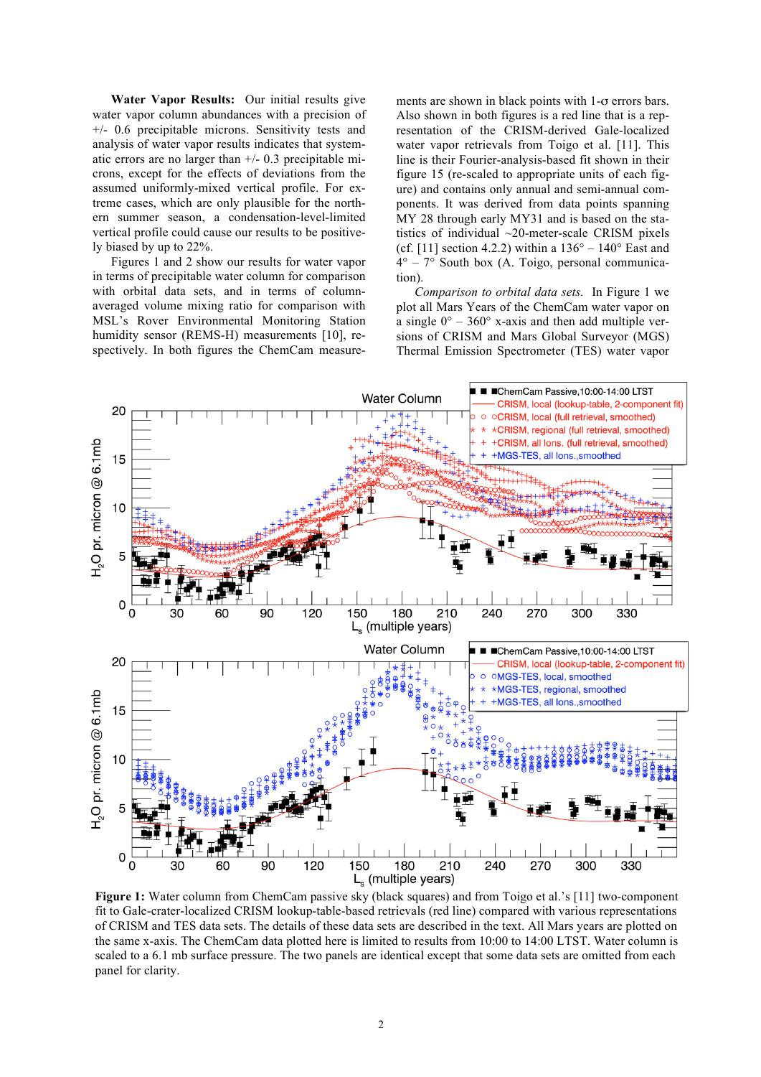**Water Vapor Results:** Our initial results give water vapor column abundances with a precision of +/- 0.6 precipitable microns. Sensitivity tests and analysis of water vapor results indicates that systematic errors are no larger than +/- 0.3 precipitable microns, except for the effects of deviations from the assumed uniformly-mixed vertical profile. For extreme cases, which are only plausible for the northern summer season, a condensation-level-limited vertical profile could cause our results to be positively biased by up to 22%.

Figures 1 and 2 show our results for water vapor in terms of precipitable water column for comparison with orbital data sets, and in terms of columnaveraged volume mixing ratio for comparison with MSL's Rover Environmental Monitoring Station humidity sensor (REMS-H) measurements [10], respectively. In both figures the ChemCam measurements are shown in black points with 1-σ errors bars. Also shown in both figures is a red line that is a representation of the CRISM-derived Gale-localized water vapor retrievals from Toigo et al. [11]. This line is their Fourier-analysis-based fit shown in their figure 15 (re-scaled to appropriate units of each figure) and contains only annual and semi-annual components. It was derived from data points spanning MY 28 through early MY31 and is based on the statistics of individual ~20-meter-scale CRISM pixels (cf. [11] section 4.2.2) within a  $136^{\circ} - 140^{\circ}$  East and 4° – 7° South box (A. Toigo, personal communication).

*Comparison to orbital data sets.* In Figure 1 we plot all Mars Years of the ChemCam water vapor on a single  $0^{\circ}$  – 360° x-axis and then add multiple versions of CRISM and Mars Global Surveyor (MGS) Thermal Emission Spectrometer (TES) water vapor



**Figure 1:** Water column from ChemCam passive sky (black squares) and from Toigo et al.'s [11] two-component fit to Gale-crater-localized CRISM lookup-table-based retrievals (red line) compared with various representations of CRISM and TES data sets. The details of these data sets are described in the text. All Mars years are plotted on the same x-axis. The ChemCam data plotted here is limited to results from 10:00 to 14:00 LTST. Water column is scaled to a 6.1 mb surface pressure. The two panels are identical except that some data sets are omitted from each panel for clarity.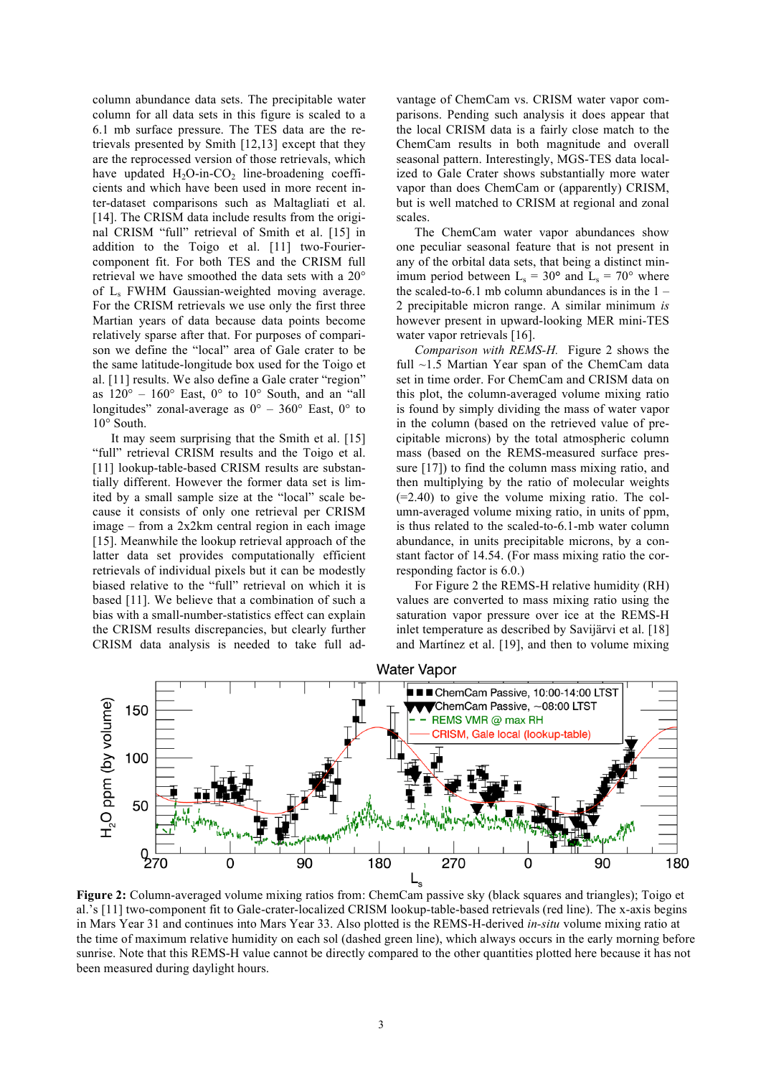column abundance data sets. The precipitable water column for all data sets in this figure is scaled to a 6.1 mb surface pressure. The TES data are the retrievals presented by Smith [12,13] except that they are the reprocessed version of those retrievals, which have updated  $H_2O$ -in- $CO_2$  line-broadening coefficients and which have been used in more recent inter-dataset comparisons such as Maltagliati et al. [14]. The CRISM data include results from the original CRISM "full" retrieval of Smith et al. [15] in addition to the Toigo et al. [11] two-Fouriercomponent fit. For both TES and the CRISM full retrieval we have smoothed the data sets with a 20° of Ls FWHM Gaussian-weighted moving average. For the CRISM retrievals we use only the first three Martian years of data because data points become relatively sparse after that. For purposes of comparison we define the "local" area of Gale crater to be the same latitude-longitude box used for the Toigo et al. [11] results. We also define a Gale crater "region" as  $120^\circ - 160^\circ$  East,  $0^\circ$  to  $10^\circ$  South, and an "all longitudes" zonal-average as  $0^{\circ}$  – 360° East, 0° to 10° South.

It may seem surprising that the Smith et al. [15] "full" retrieval CRISM results and the Toigo et al. [11] lookup-table-based CRISM results are substantially different. However the former data set is limited by a small sample size at the "local" scale because it consists of only one retrieval per CRISM image – from a 2x2km central region in each image [15]. Meanwhile the lookup retrieval approach of the latter data set provides computationally efficient retrievals of individual pixels but it can be modestly biased relative to the "full" retrieval on which it is based [11]. We believe that a combination of such a bias with a small-number-statistics effect can explain the CRISM results discrepancies, but clearly further CRISM data analysis is needed to take full advantage of ChemCam vs. CRISM water vapor comparisons. Pending such analysis it does appear that the local CRISM data is a fairly close match to the ChemCam results in both magnitude and overall seasonal pattern. Interestingly, MGS-TES data localized to Gale Crater shows substantially more water vapor than does ChemCam or (apparently) CRISM, but is well matched to CRISM at regional and zonal scales.

The ChemCam water vapor abundances show one peculiar seasonal feature that is not present in any of the orbital data sets, that being a distinct minimum period between  $L_s = 30^{\circ}$  and  $L_s = 70^{\circ}$  where the scaled-to-6.1 mb column abundances is in the  $1 -$ 2 precipitable micron range. A similar minimum *is* however present in upward-looking MER mini-TES water vapor retrievals [16].

*Comparison with REMS-H.* Figure 2 shows the full ~1.5 Martian Year span of the ChemCam data set in time order. For ChemCam and CRISM data on this plot, the column-averaged volume mixing ratio is found by simply dividing the mass of water vapor in the column (based on the retrieved value of precipitable microns) by the total atmospheric column mass (based on the REMS-measured surface pressure [17]) to find the column mass mixing ratio, and then multiplying by the ratio of molecular weights (=2.40) to give the volume mixing ratio. The column-averaged volume mixing ratio, in units of ppm, is thus related to the scaled-to-6.1-mb water column abundance, in units precipitable microns, by a constant factor of 14.54. (For mass mixing ratio the corresponding factor is 6.0.)

For Figure 2 the REMS-H relative humidity (RH) values are converted to mass mixing ratio using the saturation vapor pressure over ice at the REMS-H inlet temperature as described by Savijärvi et al. [18] and Martínez et al. [19], and then to volume mixing



**Figure 2:** Column-averaged volume mixing ratios from: ChemCam passive sky (black squares and triangles); Toigo et al.'s [11] two-component fit to Gale-crater-localized CRISM lookup-table-based retrievals (red line). The x-axis begins in Mars Year 31 and continues into Mars Year 33. Also plotted is the REMS-H-derived *in-situ* volume mixing ratio at the time of maximum relative humidity on each sol (dashed green line), which always occurs in the early morning before sunrise. Note that this REMS-H value cannot be directly compared to the other quantities plotted here because it has not been measured during daylight hours.